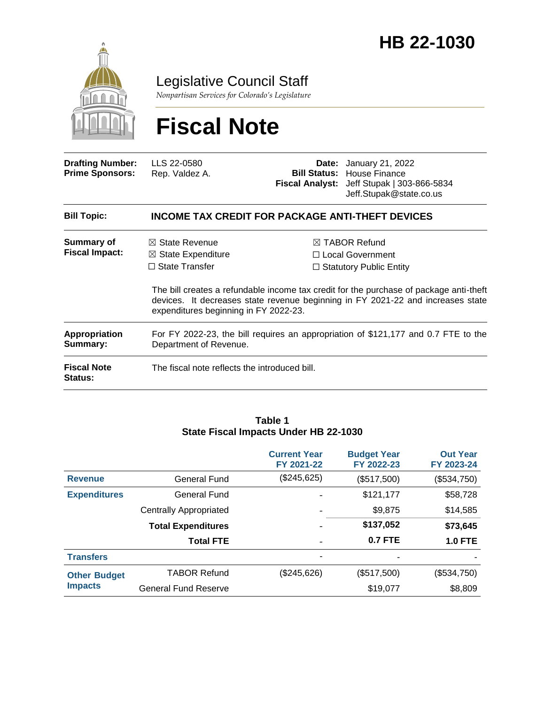

Legislative Council Staff

*Nonpartisan Services for Colorado's Legislature*

# **Fiscal Note**

| <b>Drafting Number:</b><br><b>Prime Sponsors:</b> | LLS 22-0580<br>Rep. Valdez A.                                                                                                                                                                                                                                                 |  | <b>Date:</b> January 21, 2022<br><b>Bill Status: House Finance</b><br>Fiscal Analyst: Jeff Stupak   303-866-5834<br>Jeff.Stupak@state.co.us |  |
|---------------------------------------------------|-------------------------------------------------------------------------------------------------------------------------------------------------------------------------------------------------------------------------------------------------------------------------------|--|---------------------------------------------------------------------------------------------------------------------------------------------|--|
| <b>Bill Topic:</b>                                | <b>INCOME TAX CREDIT FOR PACKAGE ANTI-THEFT DEVICES</b>                                                                                                                                                                                                                       |  |                                                                                                                                             |  |
| <b>Summary of</b><br><b>Fiscal Impact:</b>        | $\boxtimes$ State Revenue<br>$\boxtimes$ State Expenditure                                                                                                                                                                                                                    |  | $\boxtimes$ TABOR Refund<br>$\Box$ Local Government                                                                                         |  |
|                                                   | $\Box$ State Transfer<br>$\Box$ Statutory Public Entity<br>The bill creates a refundable income tax credit for the purchase of package anti-theft<br>devices. It decreases state revenue beginning in FY 2021-22 and increases state<br>expenditures beginning in FY 2022-23. |  |                                                                                                                                             |  |
| <b>Appropriation</b><br>Summary:                  | For FY 2022-23, the bill requires an appropriation of \$121,177 and 0.7 FTE to the<br>Department of Revenue.                                                                                                                                                                  |  |                                                                                                                                             |  |
| <b>Fiscal Note</b><br><b>Status:</b>              | The fiscal note reflects the introduced bill.                                                                                                                                                                                                                                 |  |                                                                                                                                             |  |

#### **Table 1 State Fiscal Impacts Under HB 22-1030**

|                                       |                               | <b>Current Year</b><br>FY 2021-22 | <b>Budget Year</b><br>FY 2022-23 | <b>Out Year</b><br>FY 2023-24 |
|---------------------------------------|-------------------------------|-----------------------------------|----------------------------------|-------------------------------|
| <b>Revenue</b>                        | <b>General Fund</b>           | (\$245,625)                       | (\$517,500)                      | (\$534,750)                   |
| <b>Expenditures</b>                   | General Fund                  |                                   | \$121,177                        | \$58,728                      |
|                                       | <b>Centrally Appropriated</b> |                                   | \$9,875                          | \$14,585                      |
|                                       | <b>Total Expenditures</b>     |                                   | \$137,052                        | \$73,645                      |
|                                       | <b>Total FTE</b>              |                                   | 0.7 FTE                          | <b>1.0 FTE</b>                |
| <b>Transfers</b>                      |                               |                                   |                                  |                               |
| <b>Other Budget</b><br><b>Impacts</b> | <b>TABOR Refund</b>           | (\$245,626)                       | (\$517,500)                      | (\$534,750)                   |
|                                       | <b>General Fund Reserve</b>   |                                   | \$19,077                         | \$8,809                       |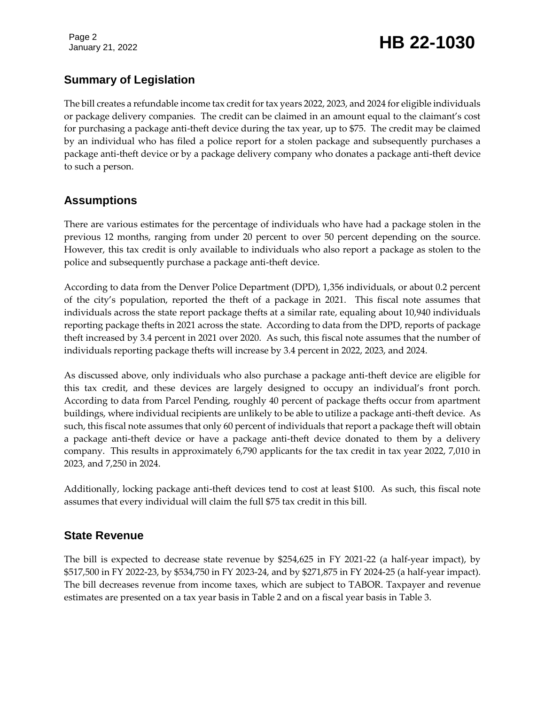Page 2

## January 21, 2022 **HB 22-1030**

## **Summary of Legislation**

The bill creates a refundable income tax credit for tax years 2022, 2023, and 2024 for eligible individuals or package delivery companies. The credit can be claimed in an amount equal to the claimant's cost for purchasing a package anti-theft device during the tax year, up to \$75. The credit may be claimed by an individual who has filed a police report for a stolen package and subsequently purchases a package anti-theft device or by a package delivery company who donates a package anti-theft device to such a person.

## **Assumptions**

There are various estimates for the percentage of individuals who have had a package stolen in the previous 12 months, ranging from under 20 percent to over 50 percent depending on the source. However, this tax credit is only available to individuals who also report a package as stolen to the police and subsequently purchase a package anti-theft device.

According to data from the Denver Police Department (DPD), 1,356 individuals, or about 0.2 percent of the city's population, reported the theft of a package in 2021. This fiscal note assumes that individuals across the state report package thefts at a similar rate, equaling about 10,940 individuals reporting package thefts in 2021 across the state. According to data from the DPD, reports of package theft increased by 3.4 percent in 2021 over 2020. As such, this fiscal note assumes that the number of individuals reporting package thefts will increase by 3.4 percent in 2022, 2023, and 2024.

As discussed above, only individuals who also purchase a package anti-theft device are eligible for this tax credit, and these devices are largely designed to occupy an individual's front porch. According to data from Parcel Pending, roughly 40 percent of package thefts occur from apartment buildings, where individual recipients are unlikely to be able to utilize a package anti-theft device. As such, this fiscal note assumes that only 60 percent of individuals that report a package theft will obtain a package anti-theft device or have a package anti-theft device donated to them by a delivery company. This results in approximately 6,790 applicants for the tax credit in tax year 2022, 7,010 in 2023, and 7,250 in 2024.

Additionally, locking package anti-theft devices tend to cost at least \$100. As such, this fiscal note assumes that every individual will claim the full \$75 tax credit in this bill.

## **State Revenue**

The bill is expected to decrease state revenue by \$254,625 in FY 2021-22 (a half-year impact), by \$517,500 in FY 2022-23, by \$534,750 in FY 2023-24, and by \$271,875 in FY 2024-25 (a half-year impact). The bill decreases revenue from income taxes, which are subject to TABOR. Taxpayer and revenue estimates are presented on a tax year basis in Table 2 and on a fiscal year basis in Table 3.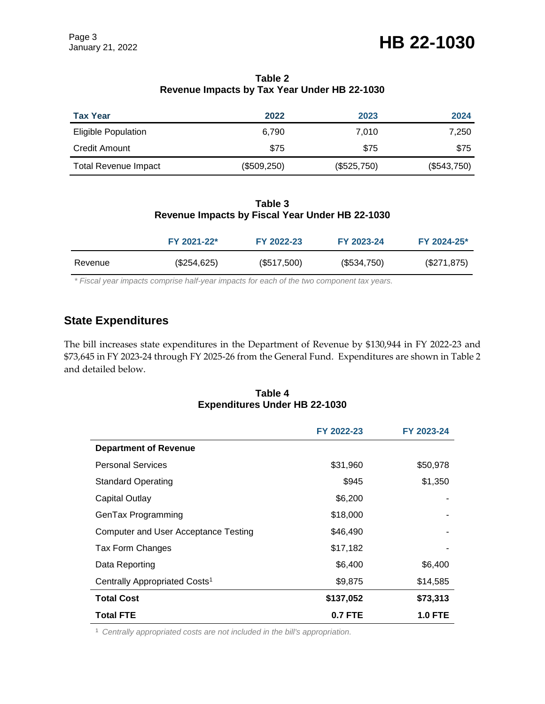**Table 2 Revenue Impacts by Tax Year Under HB 22-1030**

| <b>Tax Year</b>             | 2022        | 2023        | 2024        |
|-----------------------------|-------------|-------------|-------------|
| <b>Eligible Population</b>  | 6,790       | 7,010       | 7,250       |
| Credit Amount               | \$75        | \$75        | \$75        |
| <b>Total Revenue Impact</b> | (\$509,250) | (\$525,750) | (\$543,750) |

**Table 3 Revenue Impacts by Fiscal Year Under HB 22-1030**

|         | FY 2021-22* | FY 2022-23  | FY 2023-24  | FY 2024-25* |
|---------|-------------|-------------|-------------|-------------|
| Revenue | (\$254,625) | (\$517,500) | (\$534,750) | (\$271,875) |

*\* Fiscal year impacts comprise half-year impacts for each of the two component tax years.* 

## **State Expenditures**

The bill increases state expenditures in the Department of Revenue by \$130,944 in FY 2022-23 and \$73,645 in FY 2023-24 through FY 2025-26 from the General Fund. Expenditures are shown in Table 2 and detailed below.

#### **Table 4 Expenditures Under HB 22-1030**

|                                           | FY 2022-23 | FY 2023-24     |
|-------------------------------------------|------------|----------------|
| <b>Department of Revenue</b>              |            |                |
| <b>Personal Services</b>                  | \$31,960   | \$50,978       |
| <b>Standard Operating</b>                 | \$945      | \$1,350        |
| Capital Outlay                            | \$6,200    |                |
| GenTax Programming                        | \$18,000   |                |
| Computer and User Acceptance Testing      | \$46,490   |                |
| Tax Form Changes                          | \$17,182   |                |
| Data Reporting                            | \$6,400    | \$6,400        |
| Centrally Appropriated Costs <sup>1</sup> | \$9,875    | \$14,585       |
| <b>Total Cost</b>                         | \$137,052  | \$73,313       |
| <b>Total FTE</b>                          | 0.7 FTE    | <b>1.0 FTE</b> |

<sup>1</sup> *Centrally appropriated costs are not included in the bill's appropriation.*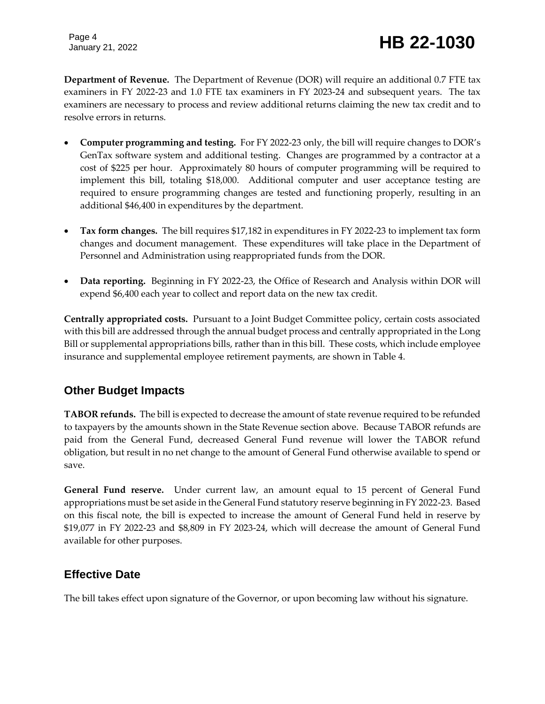Page 4

## January 21, 2022 **HB 22-1030**

**Department of Revenue.** The Department of Revenue (DOR) will require an additional 0.7 FTE tax examiners in FY 2022-23 and 1.0 FTE tax examiners in FY 2023-24 and subsequent years. The tax examiners are necessary to process and review additional returns claiming the new tax credit and to resolve errors in returns.

- **Computer programming and testing.** For FY 2022-23 only, the bill will require changes to DOR's GenTax software system and additional testing. Changes are programmed by a contractor at a cost of \$225 per hour. Approximately 80 hours of computer programming will be required to implement this bill, totaling \$18,000. Additional computer and user acceptance testing are required to ensure programming changes are tested and functioning properly, resulting in an additional \$46,400 in expenditures by the department.
- **Tax form changes.** The bill requires \$17,182 in expenditures in FY 2022-23 to implement tax form changes and document management. These expenditures will take place in the Department of Personnel and Administration using reappropriated funds from the DOR.
- **Data reporting.** Beginning in FY 2022-23, the Office of Research and Analysis within DOR will expend \$6,400 each year to collect and report data on the new tax credit.

**Centrally appropriated costs.** Pursuant to a Joint Budget Committee policy, certain costs associated with this bill are addressed through the annual budget process and centrally appropriated in the Long Bill or supplemental appropriations bills, rather than in this bill. These costs, which include employee insurance and supplemental employee retirement payments, are shown in Table 4.

## **Other Budget Impacts**

**TABOR refunds.** The bill is expected to decrease the amount of state revenue required to be refunded to taxpayers by the amounts shown in the State Revenue section above. Because TABOR refunds are paid from the General Fund, decreased General Fund revenue will lower the TABOR refund obligation, but result in no net change to the amount of General Fund otherwise available to spend or save.

**General Fund reserve.** Under current law, an amount equal to 15 percent of General Fund appropriations must be set aside in the General Fund statutory reserve beginning in FY 2022-23. Based on this fiscal note, the bill is expected to increase the amount of General Fund held in reserve by \$19,077 in FY 2022-23 and \$8,809 in FY 2023-24, which will decrease the amount of General Fund available for other purposes.

## **Effective Date**

The bill takes effect upon signature of the Governor, or upon becoming law without his signature.